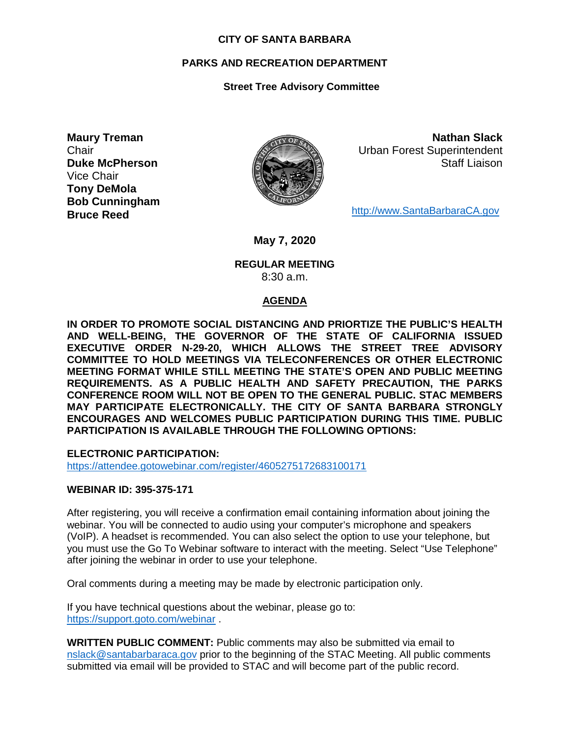#### **CITY OF SANTA BARBARA**

## **PARKS AND RECREATION DEPARTMENT**

# **Street Tree Advisory Committee**

**Maury Treman Chair Duke McPherson** Vice Chair **Tony DeMola Bob Cunningham Bruce Reed**



**Nathan Slack** Urban Forest Superintendent Staff Liaison

[http://www.SantaBarbaraCA.gov](http://www.santabarbaraca.gov/)

**May 7, 2020**

#### **REGULAR MEETING** 8:30 a.m.

## **AGENDA**

**IN ORDER TO PROMOTE SOCIAL DISTANCING AND PRIORTIZE THE PUBLIC'S HEALTH AND WELL-BEING, THE GOVERNOR OF THE STATE OF CALIFORNIA ISSUED EXECUTIVE ORDER N-29-20, WHICH ALLOWS THE STREET TREE ADVISORY COMMITTEE TO HOLD MEETINGS VIA TELECONFERENCES OR OTHER ELECTRONIC MEETING FORMAT WHILE STILL MEETING THE STATE'S OPEN AND PUBLIC MEETING REQUIREMENTS. AS A PUBLIC HEALTH AND SAFETY PRECAUTION, THE PARKS CONFERENCE ROOM WILL NOT BE OPEN TO THE GENERAL PUBLIC. STAC MEMBERS MAY PARTICIPATE ELECTRONICALLY. THE CITY OF SANTA BARBARA STRONGLY ENCOURAGES AND WELCOMES PUBLIC PARTICIPATION DURING THIS TIME. PUBLIC PARTICIPATION IS AVAILABLE THROUGH THE FOLLOWING OPTIONS:**

**ELECTRONIC PARTICIPATION:** 

<https://attendee.gotowebinar.com/register/4605275172683100171>

## **WEBINAR ID: 395-375-171**

After registering, you will receive a confirmation email containing information about joining the webinar. You will be connected to audio using your computer's microphone and speakers (VoIP). A headset is recommended. You can also select the option to use your telephone, but you must use the Go To Webinar software to interact with the meeting. Select "Use Telephone" after joining the webinar in order to use your telephone.

Oral comments during a meeting may be made by electronic participation only.

If you have technical questions about the webinar, please go to: <https://support.goto.com/webinar> .

**WRITTEN PUBLIC COMMENT:** Public comments may also be submitted via email to [nslack@santabarbaraca.gov](mailto:nslack@santabarbaraca.gov) prior to the beginning of the STAC Meeting. All public comments submitted via email will be provided to STAC and will become part of the public record.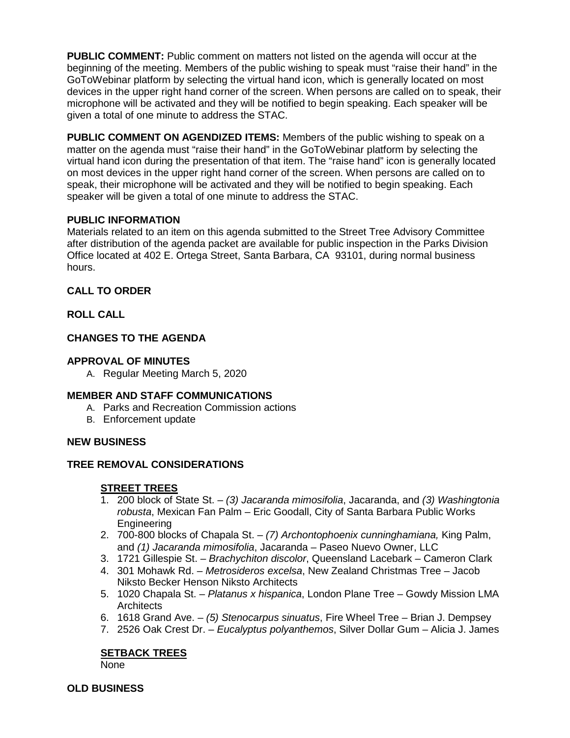**PUBLIC COMMENT:** Public comment on matters not listed on the agenda will occur at the beginning of the meeting. Members of the public wishing to speak must "raise their hand" in the GoToWebinar platform by selecting the virtual hand icon, which is generally located on most devices in the upper right hand corner of the screen. When persons are called on to speak, their microphone will be activated and they will be notified to begin speaking. Each speaker will be given a total of one minute to address the STAC.

**PUBLIC COMMENT ON AGENDIZED ITEMS:** Members of the public wishing to speak on a matter on the agenda must "raise their hand" in the GoToWebinar platform by selecting the virtual hand icon during the presentation of that item. The "raise hand" icon is generally located on most devices in the upper right hand corner of the screen. When persons are called on to speak, their microphone will be activated and they will be notified to begin speaking. Each speaker will be given a total of one minute to address the STAC.

## **PUBLIC INFORMATION**

Materials related to an item on this agenda submitted to the Street Tree Advisory Committee after distribution of the agenda packet are available for public inspection in the Parks Division Office located at 402 E. Ortega Street, Santa Barbara, CA 93101, during normal business hours.

#### **CALL TO ORDER**

#### **ROLL CALL**

## **CHANGES TO THE AGENDA**

#### **APPROVAL OF MINUTES**

A. Regular Meeting March 5, 2020

#### **MEMBER AND STAFF COMMUNICATIONS**

- A. Parks and Recreation Commission actions
- B. Enforcement update

#### **NEW BUSINESS**

## **TREE REMOVAL CONSIDERATIONS**

## **STREET TREES**

- 1. 200 block of State St. *(3) Jacaranda mimosifolia*, Jacaranda, and *(3) Washingtonia robusta*, Mexican Fan Palm – Eric Goodall, City of Santa Barbara Public Works Engineering
- 2. 700-800 blocks of Chapala St. *(7) Archontophoenix cunninghamiana,* King Palm, and *(1) Jacaranda mimosifolia*, Jacaranda – Paseo Nuevo Owner, LLC
- 3. 1721 Gillespie St. *Brachychiton discolor*, Queensland Lacebark Cameron Clark
- 4. 301 Mohawk Rd. *Metrosideros excelsa*, New Zealand Christmas Tree Jacob Niksto Becker Henson Niksto Architects
- 5. 1020 Chapala St. *Platanus x hispanica*, London Plane Tree Gowdy Mission LMA **Architects**
- 6. 1618 Grand Ave. *(5) Stenocarpus sinuatus*, Fire Wheel Tree Brian J. Dempsey
- 7. 2526 Oak Crest Dr. *Eucalyptus polyanthemos*, Silver Dollar Gum Alicia J. James

## **SETBACK TREES**

None

**OLD BUSINESS**